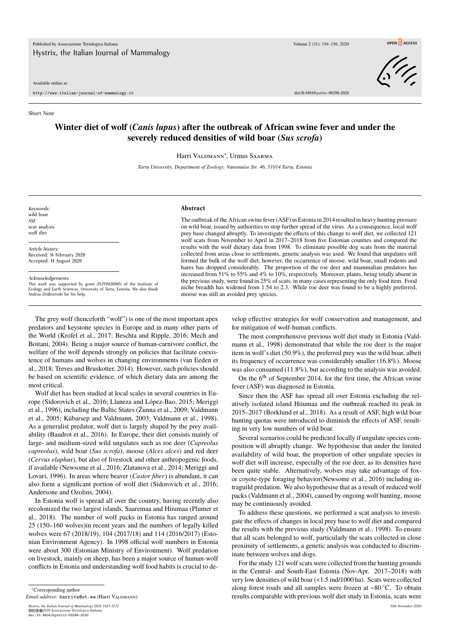#### Available online at:

http://www.italian-journal-of-mammalogy.it doi:10.4404/hystrix–00298-2020

 $\frac{1}{2}$ 

## Short Note

# **Winter diet of wolf (***Canis lupus***) after the outbreak of African swine fever and under the severely reduced densities of wild boar (***Sus scrofa***)**

Harri Valdmann<sup>∗</sup> , Urmas Saarma

*Tartu University, Department of Zoology. Vanemuise Str. 46, 51014 Tartu, Estonia*

*Keywords:* wild boar ASF scat analysis wolf diet

*Article history:* Received: 14 February 2020 Accepted: 14 August 2020

*Acknowledgements*

This work was supported by grant (PLTOM20905) of the Institute of Ecology and Earth Sciences, University of Tartu, Estonia. We also thank Andrus Dräbtsinski for his help.

### **Abstract**

The outbreak of the African swine fever (ASF) in Estonia in 2014 resulted in heavy hunting pressure on wild boar, issued by authorities to stop further spread of the virus. As a consequence, local wolf prey base changed abruptly. To investigate the effects of this change to wolf diet, we collected 121 wolf scats from November to April in 2017–2018 from five Estonian counties and compared the results with the wolf dietary data from 1998. To eliminate possible dog scats from the material collected from areas close to settlements, genetic analysis was used. We found that ungulates still formed the bulk of the wolf diet, however, the occurrence of moose, wild boar, small rodents and hares has dropped considerably. The proportion of the roe deer and mammalian predators has increased from 51% to 55% and 4% to 10%, respectively. Moreover, plants, being totally absent in the previous study, were found in 25% of scats, in many cases representing the only food item. Food niche breadth has widened from 1.54 to 2.3. While roe deer was found to be a highly preferred, moose was still an avoided prey species.

The grey wolf (henceforth "wolf") is one of the most important apex predators and keystone species in Europe and in many other parts of the World (Krofel et al., 2017; Beschta and Ripple, 2016; Mech and Boitani, 2004). Being a major source of human-carnivore conflict, the welfare of the wolf depends strongly on policies that facilitate coexistence of humans and wolves in changing environments (van Eeden et al., 2018; Treves and Bruskotter, 2014). However, such policies should be based on scientific evidence, of which dietary data are among the most critical.

Wolf diet has been studied at local scales in several countries in Europe (Sidorovich et al., 2016; Llaneza and López-Bao, 2015; Meriggi et al., 1996), including the Baltic States (Žunna et al., 2009; Valdmann et al., 2005; Kübarsep and Valdmann, 2003; Valdmann et al., 1998). As a generalist predator, wolf diet is largely shaped by the prey availability (Baudrot et al., 2016). In Europe, their diet consists mainly of large- and medium-sized wild ungulates such as roe deer (*Capreolus capreolus*), wild boar (*Sus scrofa*), moose (*Alces alces*) and red deer (*Cervus elaphus*), but also of livestock and other anthropogenic foods, if available (Newsome et al., 2016; Zlatanova et al., 2014; Meriggi and Lovari, 1996). In areas where beaver (*Castor fiber*) is abundant, it can also form a significant portion of wolf diet (Sidorovich et al., 2016; Andersone and Ozolins, 2004).

In Estonia wolf is spread all over the country, having recently also recolonized the two largest islands, Saaremaa and Hiiumaa (Plumer et al., 2018). The number of wolf packs in Estonia has ranged around 25 (150–160 wolves)in recent years and the numbers of legally killed wolves were 67 (2018/19), 104 (2017/18) and 114 (2016/2017) (Estonian Environment Agency). In 1998 official wolf numbers in Estonia were about 300 (Estonian Ministry of Environment). Wolf predation on livestock, mainly on sheep, has been a major source of human-wolf conflicts in Estonia and understanding wolf food habits is crucial to de-

*Hystrix, the Italian Journal of Mammalogy ISSN 1825-5272 30th November 2020* ©©⊕©2*020 Associazione Teriologica Italiana*<br>doi:10.4404/hystrix-00298-2020

velop effective strategies for wolf conservation and management, and for mitigation of wolf-human conflicts.

The most comprehensive previous wolf diet study in Estonia (Valdmann et al., 1998) demonstrated that while the roe deer is the major item in wolf's diet (50.9%), the preferred prey was the wild boar, albeit its frequency of occurrence was considerably smaller (16.8%). Moose was also consumed (11.8%), but according to the analysis was avoided.

On the  $6<sup>th</sup>$  of September 2014, for the first time, the African swine fever (ASF) was diagnosed in Estonia.

Since then the ASF has spread all over Estonia excluding the relatively isolated island Hiiumaa and the outbreak reached its peak in 2015–2017 (Borklund et al., 2018). As a result of ASF, high wild boar hunting quotas were introduced to diminish the effects of ASF, resulting in very low numbers of wild boar.

Several scenarios could be predicted locally if ungulate species composition will abruptly change. We hypothesise that under the limited availability of wild boar, the proportion of other ungulate species in wolf diet will increase, especially of the roe deer, as its densities have been quite stable. Alternatively, wolves may take advantage of foxor coyote-type foraging behavior(Newsome et al., 2016) including intraguild predation. We also hypothesise that as a result of reduced wolf packs (Valdmann et al., 2004), caused by ongoing wolf hunting, moose may be continuously avoided.

To address these questions, we performed a scat analysis to investigate the effects of changes in local prey base to wolf diet and compared the results with the previous study (Valdmann et al., 1998). To ensure that all scats belonged to wolf, particularly the scats collected in close proximity of settlements, a genetic analysis was conducted to discriminate between wolves and dogs.

For the study 121 wolf scats were collected from the hunting grounds in the Central- and South-East Estonia (Nov-Apr. 2017–2018) with very low densities of wild boar (<1.5 ind/1000 ha). Scats were collected along forest roads and all samples were frozen at −80 ◦C. To obtain results comparable with previous wolf diet study in Estonia, scats were

<sup>∗</sup>Corresponding author

*Email address:* harriva@ut.ee (Harri Valdmann)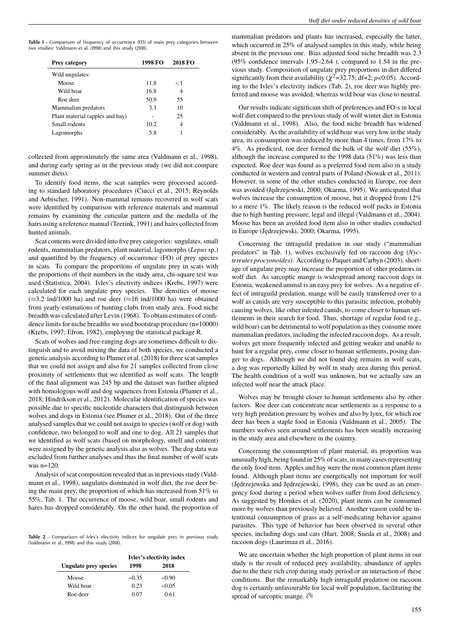| Table 1 – Comparison of frequency of occurrence (FO) of main prey categories between |  |
|--------------------------------------------------------------------------------------|--|
| two studies: Valdmann et al. (1998) and this study (2018).                           |  |

| 1998 FO | 2018 FO |
|---------|---------|
|         |         |
| 11.8    | ← 1     |
| 16.8    | 4       |
| 50.9    | 55      |
| 3.3     | 10      |
| ۰       | 25      |
| 10.2    | 4       |
| 5.8     |         |
|         |         |

collected from approximately the same area (Valdmann et al., 1998), and during early spring as in the previous study (we did not compare summer diets).

To identify food items, the scat samples were processed according to standard laboratory procedures (Ciucci et al., 2015; Reynolds and Aebischer, 1991). Non-mammal remains recovered in wolf scats were identified by comparison with reference materials and mammal remains by examining the cuticular pattern and the medulla of the hairs using a reference manual (Teerink, 1991) and hairs collected from hunted animals.

Scat contents were divided into five prey categories: ungulates, small rodents, mammalian predators, plant material, lagomorphs (*Lepus* sp.) and quantified by the frequency of occurrence (FO) of prey species in scats. To compare the proportions of ungulate prey in scats with the proportions of their numbers in the study area, chi-square test was used (Statistica, 2004). Ivlev's electivity indices (Krebs, 1997) were calculated for each ungulate prey species. The densities of moose  $(\approx 3.2 \text{ ind}/1000 \text{ ha})$  and roe deer  $(\approx 16 \text{ ind}/1000 \text{ ha})$  were obtained from yearly estimations of hunting clubs from study area. Food niche breadth was calculated after Levin (1968). To obtain estimates of confidence limits for niche breadths we used bootstrap procedure (n=10000) (Krebs, 1997; Efron, 1982), employing the statistical package R.

Scats of wolves and free-ranging dogs are sometimes difficult to distinguish and to avoid mixing the data of both species, we conducted a genetic analysis according to Plumer et al. (2018) for three scat samples that we could not assign and also for 21 samples collected from close proximity of settlements that we identified as wolf scats. The length of the final alignment was 245 bp and the dataset was further aligned with homologous wolf and dog sequences from Estonia (Plumer et al., 2018; Hindrikson et al., 2012). Molecular identification of species was possible due to specific nucleotide characters that distinguish between wolves and dogs in Estonia (see Plumer et al., 2018). Out of the three analysed samples that we could not assign to species (wolf or dog) with confidence, two belonged to wolf and one to dog. All 21 samples that we identified as wolf scats (based on morphology, smell and content) were assigned by the genetic analysis also as wolves. The dog data was excluded from further analyses and thus the final number of wolf scats was n=120.

Analysis of scat composition revealed that as in previous study (Valdmann et al., 1998), ungulates dominated in wolf diet, the roe deer being the main prey, the proportion of which has increased from 51% to 55%, Tab. 1. The occurrence of moose, wild boar, small rodents and hares has dropped considerably. On the other hand, the proportion of

Table 2 – Comparison of Ivlev's electivity indices for ungulate prey in previous study (Valdmann et al., 1998) and this study (2018).

|                              | Ivlev's electivity index |         |
|------------------------------|--------------------------|---------|
| <b>Ungulate prey species</b> | 1998                     | 2018    |
| Moose                        | $-0.35$                  | $-0.90$ |
| Wild boar                    | 0.23                     | $-0.05$ |
| Roe deer                     | 0.07                     | 0.61    |

mammalian predators and plants has increased, especially the latter, which occurred in 25% of analysed samples in this study, while being absent in the previous one. Bias adjusted food niche breadth was 2.3 (95% confidence intervals 1.95–2.64 ), compared to 1.54 in the previous study. Composition of ungulate prey proportions in diet differed significantly from their availability ( $\chi^2$ =32.75; df=2; *p*<0.05). According to the Ivlev's electivity indices (Tab. 2), roe deer was highly preferred and moose was avoided, whereas wild boar was close to neutral.

Our results indicate significant shift of preferences and FO-s in local wolf diet compared to the previous study of wolf winter diet in Estonia (Valdmann et al., 1998). Also, the food niche breadth has widened considerably. As the availability of wild boar was very low in the study area, its consumption was reduced by more than 4 times, from 17% to 4%. As predicted, roe deer formed the bulk of the wolf diet  $(55\%)$ , although the increase compared to the 1998 data  $(51\%)$  was less than expected. Roe deer was found as a preferred food item also in a study conducted in western and central parts of Poland (Nowak et al., 2011). However, in some of the other studies conducted in Europe, roe deer was avoided (Jędrzejewski, 2000; Okarma, 1995). We anticipated that wolves increase the consumption of moose, but it dropped from 12% to a mere 1%. The likely reason is the reduced wolf packs in Estonia due to high hunting pressure, legal and illegal (Valdmann et al., 2004). Moose has been an avoided food item also in other studies conducted in Europe (Jędrzejewski, 2000; Okarma, 1995).

Concerning the intraguild predation in our study ("mammalian predators" in Tab. 1), wolves exclusively fed on raccoon dog (*Nyctereutes procyonoides*). According to Paquet and Carbyn (2003), shortage of ungulate prey may increase the proportion of other predators in wolf diet. As sarcoptic mange is widespread among raccoon dogs in Estonia, weakened animal is an easy prey for wolves. As a negative effect of intraguild predation, mange will be easily transferred over to a wolf as canids are very susceptible to this parasitic infection, probably causing wolves, like other infested canids, to come closer to human settlements in their search for food. Thus, shortage of regular food (e.g., wild boar) can be detrimental to wolf population as they consume more mammalian predators, including the infected raccoon dogs. As a result, wolves get more frequently infected and getting weaker and unable to hunt for a regular prey, come closer to human settlements, posing danger to dogs. Although we did not found dog remains in wolf scats, a dog was reportedly killed by wolf in study area during this period. The health condition of a wolf was unknown, but we actually saw an infected wolf near the attack place.

Wolves may be brought closer to human settlements also by other factors. Roe deer can concentrate near settlements as a response to a very high predation pressure by wolves and also by lynx, for which roe deer has been a staple food in Estonia (Valdmann et al., 2005). The numbers wolves seen around settlements has been steadily increasing in the study area and elsewhere in the country.

Concerning the consumption of plant material, its proportion was unusually high, being found in 25% of scats, in many cases representing the only food item. Apples and hay were the most common plant items found. Although plant items are energetically not important for wolf (Jędrzejewska and Jędrzejewski, 1998), they can be used as an emergency food during a period when wolves suffer from food deficiency. As suggested by Homkes et al. (2020), plant items can be consumed more by wolves than previously believed. Another reason could be intentional consumption of grass as a self-medicating behavior against parasites. This type of behavior has been observed in several other species, including dogs and cats (Hart, 2008; Sueda et al., 2008) and raccoon dogs (Laurimaa et al., 2016).

We are uncertain whether the high proportion of plant items in our study is the result of reduced prey availability, abundance of apples due to the their rich crop during study period or an interaction of these conditions. But the remarkably high intraguild predation on raccoon dog is certainly unfavourable for local wolf population, facilitating the spread of sarcoptic mange.  $\Im$